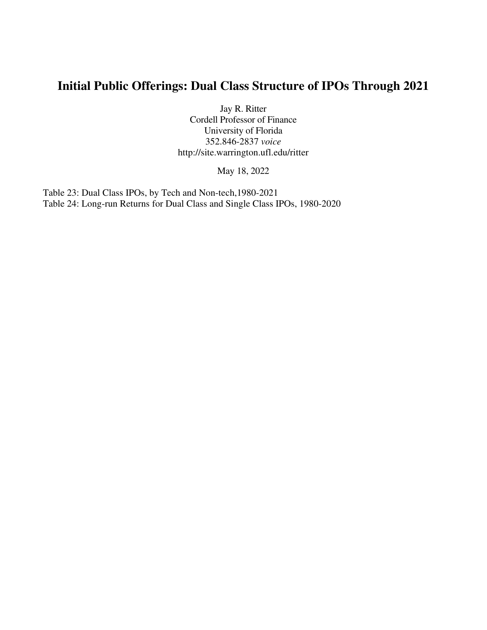# **Initial Public Offerings: Dual Class Structure of IPOs Through 2021**

Jay R. Ritter Cordell Professor of Finance University of Florida 352.846-2837 *voice* http://site.warrington.ufl.edu/ritter

May 18, 2022

Table 23: Dual Class IPOs, by Tech and Non-tech,1980-2021 Table 24: Long-run Returns for Dual Class and Single Class IPOs, 1980-2020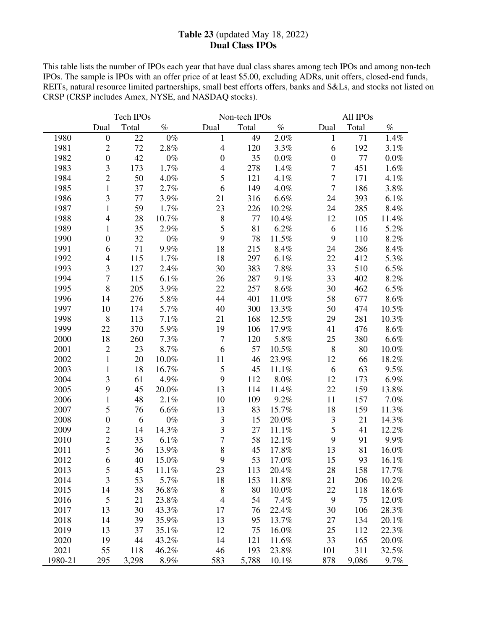## **Table 23** (updated May 18, 2022) **Dual Class IPOs**

This table lists the number of IPOs each year that have dual class shares among tech IPOs and among non-tech IPOs. The sample is IPOs with an offer price of at least \$5.00, excluding ADRs, unit offers, closed-end funds, REITs, natural resource limited partnerships, small best efforts offers, banks and S&Ls, and stocks not listed on CRSP (CRSP includes Amex, NYSE, and NASDAQ stocks).

|         | Tech IPOs<br>Non-tech IPOs |       |       | All IPOs                 |       |         |                  |       |         |
|---------|----------------------------|-------|-------|--------------------------|-------|---------|------------------|-------|---------|
|         | Dual                       | Total | $\%$  | Dual                     | Total | $\%$    | Dual             | Total | $\%$    |
| 1980    | $\boldsymbol{0}$           | 22    | $0\%$ | 1                        | 49    | $2.0\%$ | 1                | 71    | 1.4%    |
| 1981    | $\overline{2}$             | 72    | 2.8%  | $\overline{4}$           | 120   | 3.3%    | 6                | 192   | 3.1%    |
| 1982    | $\boldsymbol{0}$           | 42    | $0\%$ | $\boldsymbol{0}$         | 35    | $0.0\%$ | $\boldsymbol{0}$ | 77    | $0.0\%$ |
| 1983    | 3                          | 173   | 1.7%  | $\overline{\mathcal{L}}$ | 278   | 1.4%    | $\overline{7}$   | 451   | 1.6%    |
| 1984    | $\overline{c}$             | 50    | 4.0%  | 5                        | 121   | 4.1%    | $\overline{7}$   | 171   | 4.1%    |
| 1985    | $\mathbf{1}$               | 37    | 2.7%  | 6                        | 149   | 4.0%    | $\boldsymbol{7}$ | 186   | $3.8\%$ |
| 1986    | $\overline{\mathbf{3}}$    | 77    | 3.9%  | 21                       | 316   | 6.6%    | 24               | 393   | 6.1%    |
| 1987    | $\mathbf{1}$               | 59    | 1.7%  | 23                       | 226   | 10.2%   | 24               | 285   | 8.4%    |
| 1988    | $\overline{4}$             | 28    | 10.7% | $\,$ 8 $\,$              | 77    | 10.4%   | 12               | 105   | 11.4%   |
| 1989    | $\mathbf{1}$               | 35    | 2.9%  | 5                        | 81    | 6.2%    | 6                | 116   | 5.2%    |
| 1990    | $\boldsymbol{0}$           | 32    | $0\%$ | 9                        | 78    | 11.5%   | 9                | 110   | 8.2%    |
| 1991    | 6                          | 71    | 9.9%  | 18                       | 215   | 8.4%    | 24               | 286   | 8.4%    |
| 1992    | $\overline{4}$             | 115   | 1.7%  | 18                       | 297   | 6.1%    | 22               | 412   | 5.3%    |
| 1993    | 3                          | 127   | 2.4%  | 30                       | 383   | 7.8%    | 33               | 510   | $6.5\%$ |
| 1994    | $\boldsymbol{7}$           | 115   | 6.1%  | 26                       | 287   | 9.1%    | 33               | 402   | $8.2\%$ |
| 1995    | $\,8\,$                    | 205   | 3.9%  | 22                       | 257   | 8.6%    | 30               | 462   | $6.5\%$ |
| 1996    | 14                         | 276   | 5.8%  | 44                       | 401   | 11.0%   | 58               | 677   | $8.6\%$ |
| 1997    | 10                         | 174   | 5.7%  | 40                       | 300   | 13.3%   | 50               | 474   | 10.5%   |
| 1998    | $\,8\,$                    | 113   | 7.1%  | 21                       | 168   | 12.5%   | 29               | 281   | 10.3%   |
| 1999    | 22                         | 370   | 5.9%  | 19                       | 106   | 17.9%   | 41               | 476   | $8.6\%$ |
| 2000    | 18                         | 260   | 7.3%  | $\tau$                   | 120   | 5.8%    | 25               | 380   | 6.6%    |
| 2001    | $\overline{2}$             | 23    | 8.7%  | 6                        | 57    | 10.5%   | $\,$ 8 $\,$      | 80    | 10.0%   |
| 2002    | $\mathbf{1}$               | 20    | 10.0% | 11                       | 46    | 23.9%   | 12               | 66    | 18.2%   |
| 2003    | $\mathbf{1}$               | 18    | 16.7% | 5                        | 45    | 11.1%   | 6                | 63    | 9.5%    |
| 2004    | $\overline{3}$             | 61    | 4.9%  | 9                        | 112   | 8.0%    | 12               | 173   | 6.9%    |
| 2005    | 9                          | 45    | 20.0% | 13                       | 114   | 11.4%   | 22               | 159   | 13.8%   |
| 2006    | $\mathbf{1}$               | 48    | 2.1%  | 10                       | 109   | 9.2%    | 11               | 157   | 7.0%    |
| 2007    | 5                          | 76    | 6.6%  | 13                       | 83    | 15.7%   | 18               | 159   | 11.3%   |
| 2008    | $\boldsymbol{0}$           | 6     | $0\%$ | $\mathfrak{Z}$           | 15    | 20.0%   | $\mathfrak{Z}$   | 21    | 14.3%   |
| 2009    | $\overline{2}$             | 14    | 14.3% | 3                        | 27    | 11.1%   | 5                | 41    | 12.2%   |
| 2010    | $\overline{c}$             | 33    | 6.1%  | 7                        | 58    | 12.1%   | 9                | 91    | 9.9%    |
| 2011    | 5                          | 36    | 13.9% | 8                        | 45    | 17.8%   | 13               | 81    | 16.0%   |
| 2012    | 6                          | 40    | 15.0% | 9                        | 53    | 17.0%   | 15               | 93    | 16.1%   |
| 2013    | $\mathfrak s$              | 45    | 11.1% | 23                       | 113   | 20.4%   | 28               | 158   | 17.7%   |
| 2014    | 3                          | 53    | 5.7%  | 18                       | 153   | 11.8%   | 21               | 206   | 10.2%   |
| 2015    | 14                         | 38    | 36.8% | $\,8\,$                  | 80    | 10.0%   | 22               | 118   | 18.6%   |
| 2016    | 5                          | 21    | 23.8% | $\overline{4}$           | 54    | 7.4%    | 9                | 75    | 12.0%   |
| 2017    | 13                         | 30    | 43.3% | 17                       | 76    | 22.4%   | 30               | 106   | 28.3%   |
| 2018    | 14                         | 39    | 35.9% | 13                       | 95    | 13.7%   | 27               | 134   | 20.1%   |
| 2019    | 13                         | 37    | 35.1% | 12                       | 75    | 16.0%   | 25               | 112   | 22.3%   |
| 2020    | 19                         | 44    | 43.2% | 14                       | 121   | 11.6%   | 33               | 165   | 20.0%   |
| 2021    | 55                         | 118   | 46.2% | 46                       | 193   | 23.8%   | 101              | 311   | 32.5%   |
| 1980-21 | 295                        | 3,298 | 8.9%  | 583                      | 5,788 | 10.1%   | 878              | 9,086 | 9.7%    |